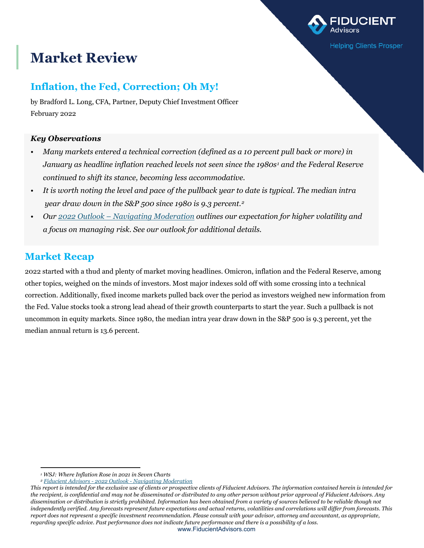# **Market Review**

## **Inflation, the Fed, Correction; Oh My!**

by Bradford L. Long, CFA, Partner, Deputy Chief Investment Officer February 2022

### *Key Observations*

• *Many markets entered a technical correction (defined as a 10 percent pull back or more) in January as headline inflation reached levels not seen since the 1980s[1](#page-0-0) and the Federal Reserve continued to shift its stance, becoming less accommodative.* 

**Helping Clients Prosper** 

- *It is worth noting the level and pace of the pullback year to date is typical. The median intra year draw down in the S&P 500 since 1980 is 9.3 percent.[2](#page-0-1)*
- *Our 2022 Outlook [Navigating Moderation](https://www.fiducientadvisors.com/research/2022-outlook-navigating-moderation) outlines our expectation for higher volatility and a focus on managing risk. See our outlook for additional details.*

## **Market Recap**

2022 started with a thud and plenty of market moving headlines. Omicron, inflation and the Federal Reserve, among other topics, weighed on the minds of investors. Most major indexes sold off with some crossing into a technical correction. Additionally, fixed income markets pulled back over the period as investors weighed new information from the Fed. Value stocks took a strong lead ahead of their growth counterparts to start the year. Such a pullback is not uncommon in equity markets. Since 1980, the median intra year draw down in the S&P 500 is 9.3 percent, yet the median annual return is 13.6 percent.

*<sup>1</sup> WSJ: Where Inflation Rose in 2021 in Seven Charts*

*<sup>2</sup> Fiducient Advisors - 2022 Outlook - [Navigating Moderation](https://www.fiducientadvisors.com/research/2022-outlook-navigating-moderation)*

<span id="page-0-1"></span><span id="page-0-0"></span>*This report is intended for the exclusive use of clients or prospective clients of Fiducient Advisors. The information contained herein is intended for the recipient, is confidential and may not be disseminated or distributed to any other person without prior approval of Fiducient Advisors. Any dissemination or distribution is strictly prohibited. Information has been obtained from a variety of sources believed to be reliable though not independently verified. Any forecasts represent future expectations and actual returns, volatilities and correlations will differ from forecasts. This report does not represent a specific investment recommendation. Please consult with your advisor, attorney and accountant, as appropriate, regarding specific advice. Past performance does not indicate future performance and there is a possibility of a loss.*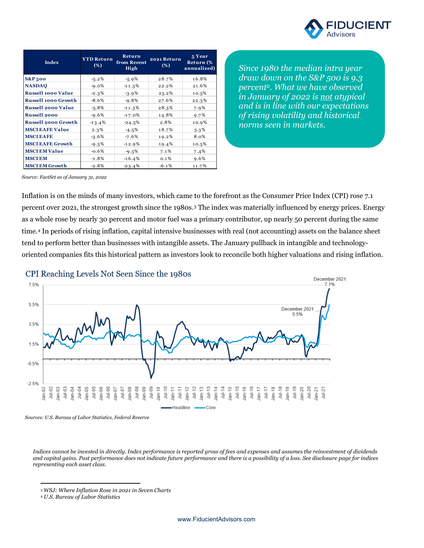

| Index                      | <b>YTD Return</b><br>(%) | Return<br>from Recent<br>High | 2021 Return<br>(%) | 5 Year<br>Return (%<br>annualized) |
|----------------------------|--------------------------|-------------------------------|--------------------|------------------------------------|
| <b>S&amp;P500</b>          | $-5.2%$                  | $-5.9%$                       | 28.7%              | 16.8%                              |
| <b>NASDAQ</b>              | $-9.0%$                  | $-11.3%$                      | 22.2%              | 21.6%                              |
| <b>Russell 1000 Value</b>  | $-2.3%$                  | $-3.9%$                       | 25.2%              | 10.5%                              |
| <b>Russell 1000 Growth</b> | $-8.6%$                  | $-9.8%$                       | 27.6%              | 22.3%                              |
| <b>Russell 2000 Value</b>  | $-5.8%$                  | $-11.3%$                      | 28.3%              | 7.9%                               |
| <b>Russell 2000</b>        | $-9.6%$                  | $-17.0%$                      | 14.8%              | 9.7%                               |
| <b>Russell 2000 Growth</b> | $-13.4%$                 | $-24.5%$                      | 2.8%               | 10.9%                              |
| <b>MSCI EAFE Value</b>     | 2.3%                     | $-4.5%$                       | 18.7%              | 5.3%                               |
| <b>MSCI EAFE</b>           | $-3.6%$                  | $-7.6%$                       | 19.2%              | 8.0%                               |
| <b>MSCI EAFE Growth</b>    | $-9.3%$                  | $-12.9%$                      | 19.4%              | 10.5%                              |
| <b>MSCI EM Value</b>       | $-0.6%$                  | $-9.5%$                       | 7.1%               | 7.4%                               |
| <b>MSCI EM</b>             | $-1.8%$                  | $-16.4%$                      | 0.1%               | 9.6%                               |
| <b>MSCI EM Growth</b>      | $-2.8%$                  | $-23.4%$                      | $-6.1%$            | 11.7%                              |

*Since 1980 the median intra year draw down on the S&P 500 is 9.3 percent2. What we have observed in January of 2022 is not atypical and is in line with our expectations of rising volatility and historical norms seen in markets.*

*Source: FactSet as of January 31, 2022*

Inflation is on the minds of many investors, which came to the forefront as the Consumer Price Index (CPI) rose 7.1 percent over 2021, the strongest growth since the 1980s.[3](#page-1-0) The index was materially influenced by energy prices. Energy as a whole rose by nearly 30 percent and motor fuel was a primary contributor, up nearly 50 percent during the same time.[4](#page-1-1) In periods of rising inflation, capital intensive businesses with real (not accounting) assets on the balance sheet tend to perform better than businesses with intangible assets. The January pullback in intangible and technologyoriented companies fits this historical pattern as investors look to reconcile both higher valuations and rising inflation.

#### CPI Reaching Levels Not Seen Since the 1980s



*Sources: U.S. Bureau of Labor Statistics, Federal Reserve*

*Indices cannot be invested in directly. Index performance is reported gross of fees and expenses and assumes the reinvestment of dividends and capital gains. Past performance does not indicate future performance and there is a possibility of a loss. See disclosure page for indices representing each asset class.*

<span id="page-1-0"></span><sup>3</sup> *WSJ: Where Inflation Rose in 2021 in Seven Charts*

<span id="page-1-1"></span><sup>4</sup> *U.S. Bureau of Labor Statistics*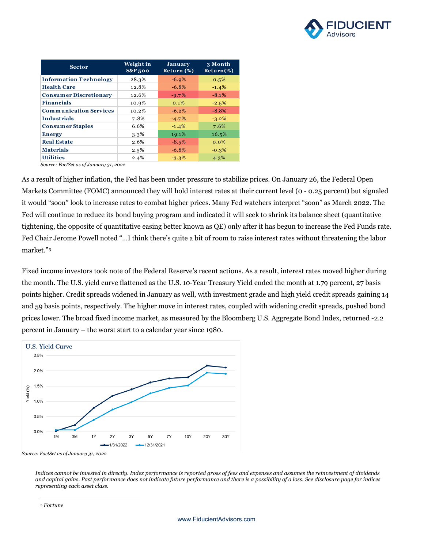

| <b>Sector</b>                 | Weight in<br><b>S&amp;P</b> 500 | January<br>Return $(\%)$ | 3 Month<br>$Return$ %) |
|-------------------------------|---------------------------------|--------------------------|------------------------|
| <b>Information Technology</b> | 28.3%                           | $-6.9%$                  | 0.5%                   |
| <b>Health Care</b>            | 12.8%                           | $-6.8%$                  | $-1.4%$                |
| <b>Consumer Discretionary</b> | 12.6%                           | $-9.7%$                  | $-8.1%$                |
| <b>Financials</b>             | 10.9%                           | 0.1%                     | $-2.5%$                |
| <b>Communication Services</b> | 10.2%                           | $-6.2%$                  | $-8.8%$                |
| <b>Industrials</b>            | 7.8%                            | $-4.7%$                  | $-3.2%$                |
| <b>Consumer Staples</b>       | 6.6%                            | $-1.4%$                  | 7.6%                   |
| <b>Energy</b>                 | 3.3%                            | 19.1%                    | 16.5%                  |
| <b>Real Estate</b>            | 2.6%                            | $-8.5%$                  | $0.0\%$                |
| <b>Materials</b>              | 2.5%                            | $-6.8%$                  | $-0.3%$                |
| <b>Utilities</b>              | 2.4%                            | $-3.3%$                  | 4.3%                   |

*Source: FactSet as of January 31, 2022*

As a result of higher inflation, the Fed has been under pressure to stabilize prices. On January 26, the Federal Open Markets Committee (FOMC) announced they will hold interest rates at their current level (0 - 0.25 percent) but signaled it would "soon" look to increase rates to combat higher prices. Many Fed watchers interpret "soon" as March 2022. The Fed will continue to reduce its bond buying program and indicated it will seek to shrink its balance sheet (quantitative tightening, the opposite of quantitative easing better known as QE) only after it has begun to increase the Fed Funds rate. Fed Chair Jerome Powell noted "…I think there's quite a bit of room to raise interest rates without threatening the labor market."[5](#page-2-0)

Fixed income investors took note of the Federal Reserve's recent actions. As a result, interest rates moved higher during the month. The U.S. yield curve flattened as the U.S. 10-Year Treasury Yield ended the month at 1.79 percent, 27 basis points higher. Credit spreads widened in January as well, with investment grade and high yield credit spreads gaining 14 and 59 basis points, respectively. The higher move in interest rates, coupled with widening credit spreads, pushed bond prices lower. The broad fixed income market, as measured by the Bloomberg U.S. Aggregate Bond Index, returned -2.2 percent in January – the worst start to a calendar year since 1980.



*Indices cannot be invested in directly. Index performance is reported gross of fees and expenses and assumes the reinvestment of dividends and capital gains. Past performance does not indicate future performance and there is a possibility of a loss. See disclosure page for indices representing each asset class.*

<span id="page-2-0"></span><sup>5</sup> *Fortune*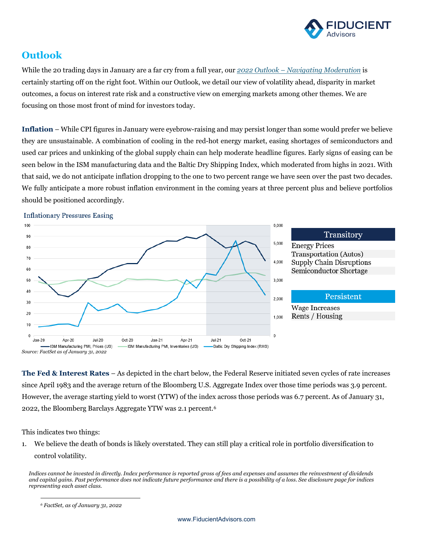

## **Outlook**

While the 20 trading days in January are a far cry from a full year, our *2022 Outlook* – *[Navigating Moderation](https://www.fiducientadvisors.com/research/2022-outlook-navigating-moderation)* is certainly starting off on the right foot. Within our Outlook, we detail our view of volatility ahead, disparity in market outcomes, a focus on interest rate risk and a constructive view on emerging markets among other themes. We are focusing on those most front of mind for investors today.

**Inflation** – While CPI figures in January were eyebrow-raising and may persist longer than some would prefer we believe they are unsustainable. A combination of cooling in the red-hot energy market, easing shortages of semiconductors and used car prices and unkinking of the global supply chain can help moderate headline figures. Early signs of easing can be seen below in the ISM manufacturing data and the Baltic Dry Shipping Index, which moderated from highs in 2021. With that said, we do not anticipate inflation dropping to the one to two percent range we have seen over the past two decades. We fully anticipate a more robust inflation environment in the coming years at three percent plus and believe portfolios should be positioned accordingly.



**The Fed & Interest Rates** – As depicted in the chart below, the Federal Reserve initiated seven cycles of rate increases since April 1983 and the average return of the Bloomberg U.S. Aggregate Index over those time periods was 3.9 percent. However, the average starting yield to worst (YTW) of the index across those periods was 6.7 percent. As of January 31, 2022, the Bloomberg Barclays Aggregate YTW was 2.1 percent.[6](#page-3-0)

This indicates two things:

1. We believe the death of bonds is likely overstated. They can still play a critical role in portfolio diversification to control volatility.

*Indices cannot be invested in directly. Index performance is reported gross of fees and expenses and assumes the reinvestment of dividends and capital gains. Past performance does not indicate future performance and there is a possibility of a loss. See disclosure page for indices representing each asset class.*

<span id="page-3-0"></span>*<sup>6</sup> FactSet, as of January 31, 2022*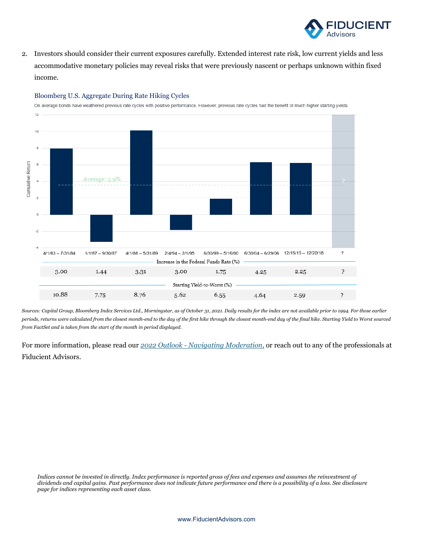

2. Investors should consider their current exposures carefully. Extended interest rate risk, low current yields and less accommodative monetary policies may reveal risks that were previously nascent or perhaps unknown within fixed income.



#### Bloomberg U.S. Aggregate During Rate Hiking Cycles

On average bonds have weathered previous rate cycles with positive performance. However, previous rate cycles had the benefit of much higher starting yields.

*Sources: Capital Group, Bloomberg Index Services Ltd., Morningstar, as of October 31, 2021. Daily results for the index are not available prior to 1994. For those earlier periods, returns were calculated from the closest month-end to the day of the first hike through the closest month-end day of the final hike. Starting Yield to Worst sourced from FactSet and is taken from the start of the month in period displayed.*

For more information, please read our *2022 Outlook - [Navigating Moderation](https://www.fiducientadvisors.com/research/2022-outlook-navigating-moderation)*, or reach out to any of the professionals at Fiducient Advisors.

*Indices cannot be invested in directly. Index performance is reported gross of fees and expenses and assumes the reinvestment of dividends and capital gains. Past performance does not indicate future performance and there is a possibility of a loss. See disclosure page for indices representing each asset class.*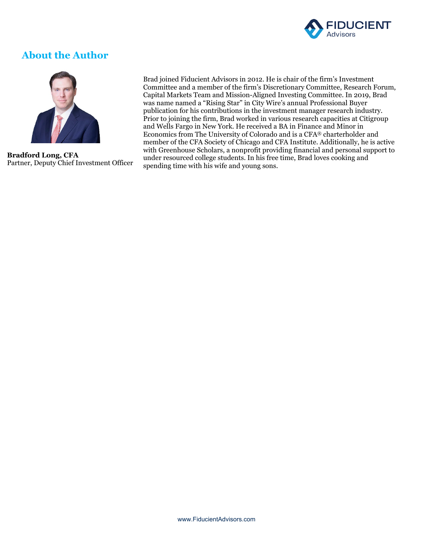

## **About the Author**



**Bradford Long, CFA** Partner, Deputy Chief Investment Officer Brad joined Fiducient Advisors in 2012. He is chair of the firm's Investment Committee and a member of the firm's Discretionary Committee, Research Forum, Capital Markets Team and Mission-Aligned Investing Committee. In 2019, Brad was name named a "Rising Star" in City Wire's annual Professional Buyer publication for his contributions in the investment manager research industry. Prior to joining the firm, Brad worked in various research capacities at Citigroup and Wells Fargo in New York. He received a BA in Finance and Minor in Economics from The University of Colorado and is a CFA® charterholder and member of the CFA Society of Chicago and CFA Institute. Additionally, he is active with Greenhouse Scholars, a nonprofit providing financial and personal support to under resourced college students. In his free time, Brad loves cooking and spending time with his wife and young sons.